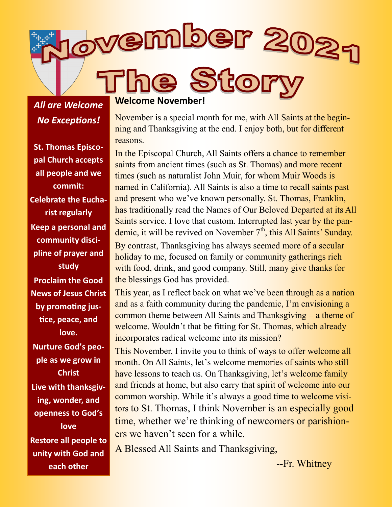ovember 202 Sto

*All are Welcome No Exceptions!*

**St. Thomas Episcopal Church accepts all people and we commit: Celebrate the Eucharist regularly Keep a personal and community discipline of prayer and study Proclaim the Good News of Jesus Christ by promoting justice, peace, and love. Nurture God's people as we grow in Christ Live with thanksgiving, wonder, and openness to God's love Restore all people to unity with God and each other**

#### **Welcome November!**

November is a special month for me, with All Saints at the beginning and Thanksgiving at the end. I enjoy both, but for different reasons.

In the Episcopal Church, All Saints offers a chance to remember saints from ancient times (such as St. Thomas) and more recent times (such as naturalist John Muir, for whom Muir Woods is named in California). All Saints is also a time to recall saints past and present who we've known personally. St. Thomas, Franklin, has traditionally read the Names of Our Beloved Departed at its All Saints service. I love that custom. Interrupted last year by the pandemic, it will be revived on November  $7<sup>th</sup>$ , this All Saints' Sunday.

By contrast, Thanksgiving has always seemed more of a secular holiday to me, focused on family or community gatherings rich with food, drink, and good company. Still, many give thanks for the blessings God has provided.

This year, as I reflect back on what we've been through as a nation and as a faith community during the pandemic, I'm envisioning a common theme between All Saints and Thanksgiving – a theme of welcome. Wouldn't that be fitting for St. Thomas, which already incorporates radical welcome into its mission?

This November, I invite you to think of ways to offer welcome all month. On All Saints, let's welcome memories of saints who still have lessons to teach us. On Thanksgiving, let's welcome family and friends at home, but also carry that spirit of welcome into our common worship. While it's always a good time to welcome visitors to St. Thomas, I think November is an especially good time, whether we're thinking of newcomers or parishioners we haven't seen for a while.

A Blessed All Saints and Thanksgiving,

--Fr. Whitney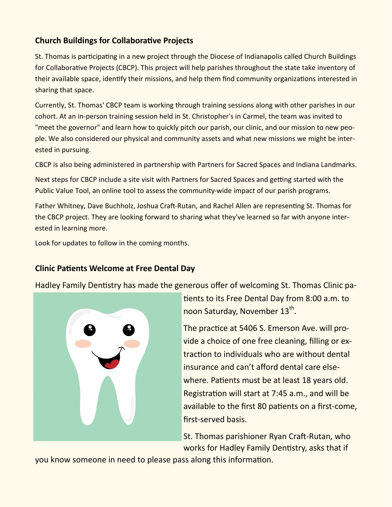### **Church Buildings for Collaborative Projects**

St. Thomas is participating in a new project through the Diocese of Indianapolis called Church Buildings for Collaborative Projects (CBCP). This project will help parishes throughout the state take inventory of their available space, identify their missions, and help them find community organizations interested in sharing that space.

Currently, St. Thomas' CBCP team is working through training sessions along with other parishes in our cohort. At an in-person training session held in St. Christopher's in Carmel, the team was invited to "meet the governor" and learn how to quickly pitch our parish, our clinic, and our mission to new people. We also considered our physical and community assets and what new missions we might be interested in pursuing.

CBCP is also being administered in partnership with Partners for Sacred Spaces and Indiana Landmarks.

Next steps for CBCP include a site visit with Partners for Sacred Spaces and getting started with the Public Value Tool, an online tool to assess the community-wide impact of our parish programs.

Father Whitney, Dave Buchholz, Joshua Craft-Rutan, and Rachel Allen are representing St. Thomas for the CBCP project. They are looking forward to sharing what they've learned so far with anyone interested in learning more.

Look for updates to follow in the coming months.

### **Clinic Patients Welcome at Free Dental Day**

Hadley Family Dentistry has made the generous offer of welcoming St. Thomas Clinic pa-



tients to its Free Dental Day from 8:00 a.m. to noon Saturday, November 13<sup>th</sup>.

The practice at 5406 S. Emerson Ave. will provide a choice of one free cleaning, filling or extraction to individuals who are without dental insurance and can't afford dental care elsewhere. Patients must be at least 18 years old. Registration will start at 7:45 a.m., and will be available to the first 80 patients on a first-come, first-served basis.

St. Thomas parishioner Ryan Craft-Rutan, who works for Hadley Family Dentistry, asks that if

you know someone in need to please pass along this information.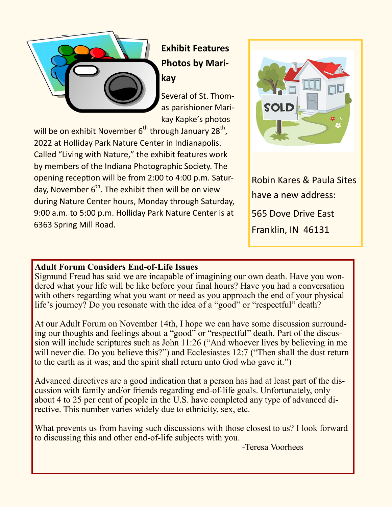

# **Exhibit Features Photos by Marikay**

Several of St. Thomas parishioner Marikay Kapke's photos

will be on exhibit November  $6^{th}$  through January 28 $^{th}$ , 2022 at Holliday Park Nature Center in Indianapolis. Called "Living with Nature," the exhibit features work by members of the Indiana Photographic Society. The opening reception will be from 2:00 to 4:00 p.m. Saturday, November  $6<sup>th</sup>$ . The exhibit then will be on view during Nature Center hours, Monday through Saturday, 9:00 a.m. to 5:00 p.m. Holliday Park Nature Center is at 6363 Spring Mill Road.



Robin Kares & Paula Sites have a new address: 565 Dove Drive East Franklin, IN 46131

### **Adult Forum Considers End-of-Life Issues**

Sigmund Freud has said we are incapable of imagining our own death. Have you wondered what your life will be like before your final hours? Have you had a conversation with others regarding what you want or need as you approach the end of your physical life's journey? Do you resonate with the idea of a "good" or "respectful" death?

At our Adult Forum on November 14th, I hope we can have some discussion surrounding our thoughts and feelings about a "good" or "respectful" death. Part of the discussion will include scriptures such as John 11:26 ("And whoever lives by believing in me will never die. Do you believe this?") and Ecclesiastes 12:7 ("Then shall the dust return to the earth as it was; and the spirit shall return unto God who gave it.")

Advanced directives are a good indication that a person has had at least part of the discussion with family and/or friends regarding end-of-life goals. Unfortunately, only about 4 to 25 per cent of people in the U.S. have completed any type of advanced directive. This number varies widely due to ethnicity, sex, etc.

What prevents us from having such discussions with those closest to us? I look forward to discussing this and other end-of-life subjects with you.

-Teresa Voorhees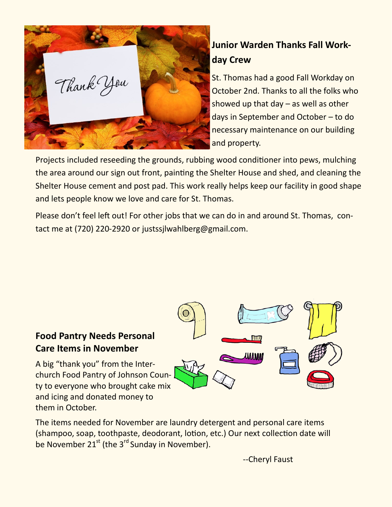

# **Junior Warden Thanks Fall Workday Crew**

St. Thomas had a good Fall Workday on October 2nd. Thanks to all the folks who showed up that day  $-$  as well as other days in September and October – to do necessary maintenance on our building and property.

Projects included reseeding the grounds, rubbing wood conditioner into pews, mulching the area around our sign out front, painting the Shelter House and shed, and cleaning the Shelter House cement and post pad. This work really helps keep our facility in good shape and lets people know we love and care for St. Thomas.

Please don't feel left out! For other jobs that we can do in and around St. Thomas, contact me at (720) 220-2920 or justssjlwahlberg@gmail.com.

## **Food Pantry Needs Personal Care Items in November**

A big "thank you" from the Interchurch Food Pantry of Johnson County to everyone who brought cake mix and icing and donated money to them in October.



The items needed for November are laundry detergent and personal care items (shampoo, soap, toothpaste, deodorant, lotion, etc.) Our next collection date will be November  $21^{st}$  (the  $3^{rd}$  Sunday in November).